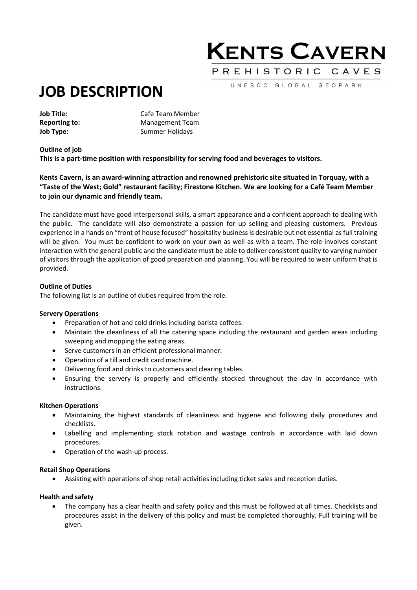## **KENTS CAVERN** PREHISTORIC CAVES

UNESCO GLOBAL GEOPARK

# JOB DESCRIPTION

Job Title: Cafe Team Member Reporting to: Management Team **Job Type:** Summer Holidays

## Outline of job

This is a part-time position with responsibility for serving food and beverages to visitors.

## Kents Cavern, is an award-winning attraction and renowned prehistoric site situated in Torquay, with a "Taste of the West; Gold" restaurant facility; Firestone Kitchen. We are looking for a Café Team Member to join our dynamic and friendly team.

The candidate must have good interpersonal skills, a smart appearance and a confident approach to dealing with the public. The candidate will also demonstrate a passion for up selling and pleasing customers. Previous experience in a hands on "front of house focused" hospitality business is desirable but not essential as full training will be given. You must be confident to work on your own as well as with a team. The role involves constant interaction with the general public and the candidate must be able to deliver consistent quality to varying number of visitors through the application of good preparation and planning. You will be required to wear uniform that is provided.

## Outline of Duties

The following list is an outline of duties required from the role.

## Servery Operations

- Preparation of hot and cold drinks including barista coffees.
- Maintain the cleanliness of all the catering space including the restaurant and garden areas including sweeping and mopping the eating areas.
- Serve customers in an efficient professional manner.
- Operation of a till and credit card machine.
- Delivering food and drinks to customers and clearing tables.
- Ensuring the servery is properly and efficiently stocked throughout the day in accordance with instructions.

## Kitchen Operations

- Maintaining the highest standards of cleanliness and hygiene and following daily procedures and checklists.
- Labelling and implementing stock rotation and wastage controls in accordance with laid down procedures.
- Operation of the wash-up process.

#### Retail Shop Operations

Assisting with operations of shop retail activities including ticket sales and reception duties.

## Health and safety

 The company has a clear health and safety policy and this must be followed at all times. Checklists and procedures assist in the delivery of this policy and must be completed thoroughly. Full training will be given.